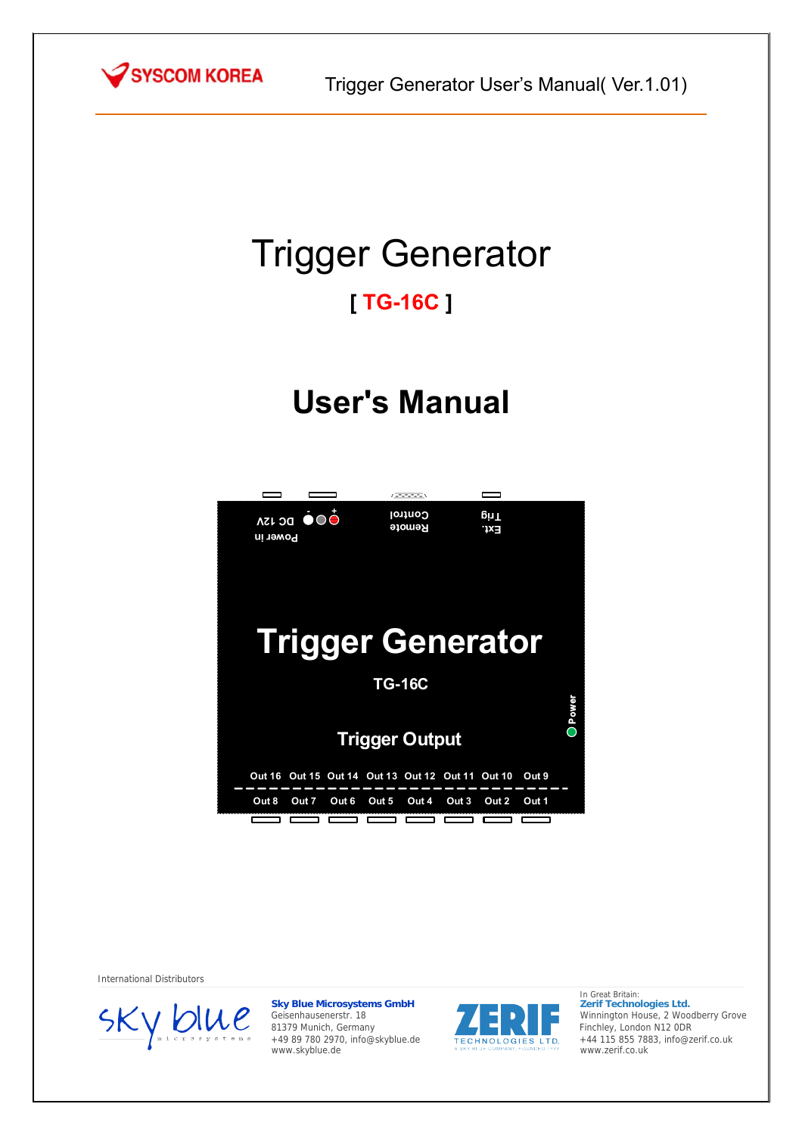

# Trigger Generator

## **[ TG-16C ]**

# **User's Manual**

|                                | (۳۵۴۴۴۰)             |                                         |              |  |
|--------------------------------|----------------------|-----------------------------------------|--------------|--|
| OOO DC ISA<br>Power in         | Control<br>Remote    | <u>l</u> rig<br>'1×∃                    |              |  |
|                                |                      |                                         |              |  |
| <b>Trigger Generator</b>       |                      |                                         |              |  |
|                                | <b>TG-16C</b>        |                                         |              |  |
|                                |                      |                                         | <b>Dower</b> |  |
| <b>Trigger Output</b>          |                      |                                         |              |  |
| <b>Out 16</b><br>Out 15 Out 14 | <b>Out 13 Out 12</b> | <b>Out 11</b><br><b>Out 10</b><br>Out 9 |              |  |
| Out 8<br>Out 7<br>Out 6        | Out 4<br>Out 5       | Out 3<br>Out 2<br>Out 1                 |              |  |
|                                |                      |                                         |              |  |

International Distributors



**Sky Blue Microsystems GmbH** Geisenhausenerstr. 18 81379 Munich, Germany +49 89 780 2970, info@skyblue.de www.skyblue.de



In Great Britain: **Zerif Technologies Ltd.** Winnington House, 2 Woodberry Grove Finchley, London N12 0DR +44 115 855 7883, info@zerif.co.uk www.zerif.co.uk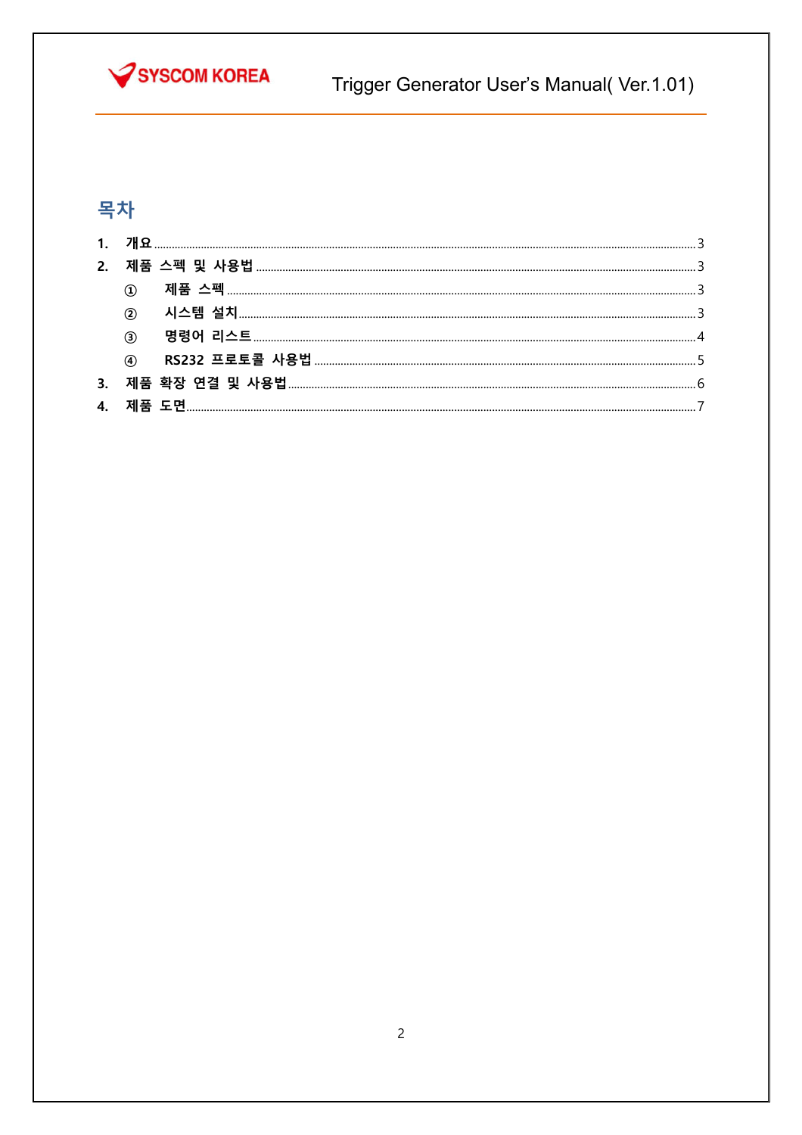

Trigger Generator User's Manual(Ver.1.01)

### 목차

| $\circled{3}$ |  |
|---------------|--|
|               |  |
|               |  |
|               |  |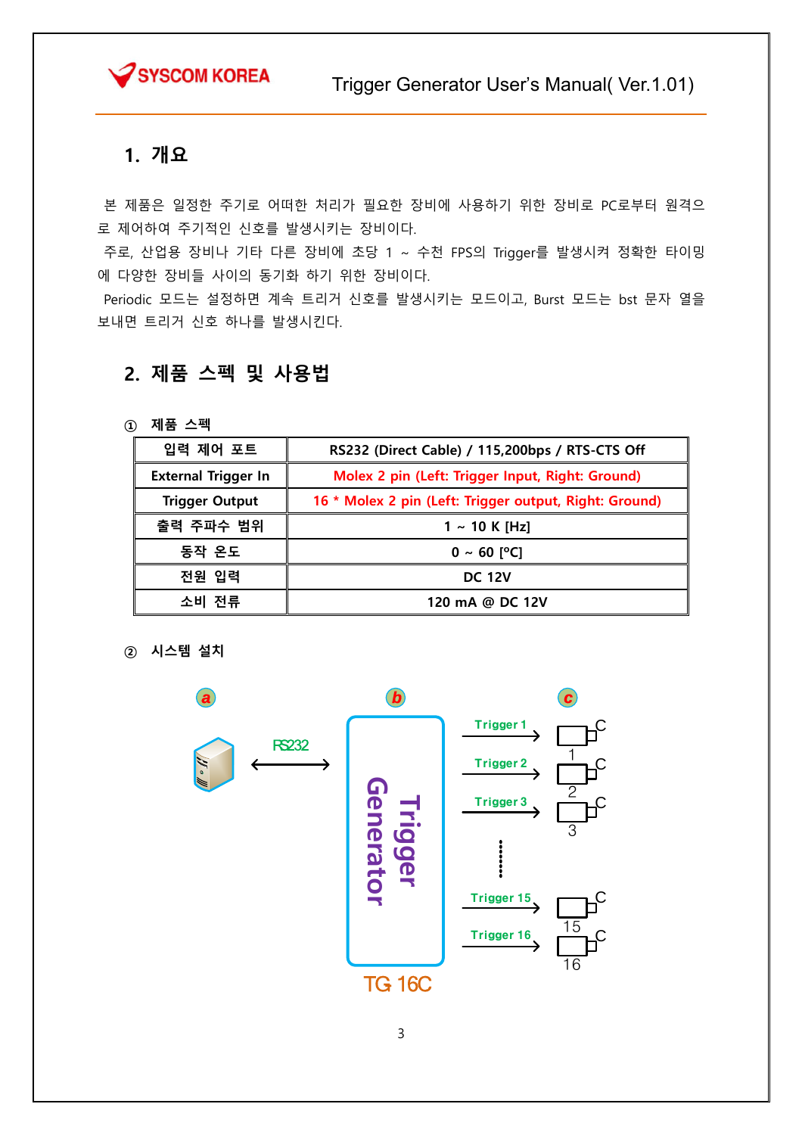

#### 1. 개요

 본 제품은 일정한 주기로 어떠한 처리가 필요한 장비에 사용하기 위한 장비로 PC로부터 원격으 로 제어하여 주기적인 신호를 발생시키는 장비이다.

 주로, 산업용 장비나 기타 다른 장비에 초당 1 ~ 수천 FPS의 Trigger를 발생시켜 정확한 타이밍 에 다양한 장비들 사이의 동기화 하기 위한 장비이다.

 Periodic 모드는 설정하면 계속 트리거 신호를 발생시키는 모드이고, Burst 모드는 bst 문자 열을 보내면 트리거 신호 하나를 발생시킨다.

#### 2. 제품 스펙 및 사용법

① 제품 스펙

| RS232 (Direct Cable) / 115,200bps / RTS-CTS Off                                 |  |
|---------------------------------------------------------------------------------|--|
| Molex 2 pin (Left: Trigger Input, Right: Ground)                                |  |
| 16 * Molex 2 pin (Left: Trigger output, Right: Ground)<br><b>Trigger Output</b> |  |
| $1 \sim 10$ K [Hz]                                                              |  |
| 동작 온도<br>$0 \sim 60$ [°C]                                                       |  |
| 전원 입력<br><b>DC 12V</b>                                                          |  |
| 소비 전류<br>120 mA @ DC 12V                                                        |  |
|                                                                                 |  |

② 시스템 설치

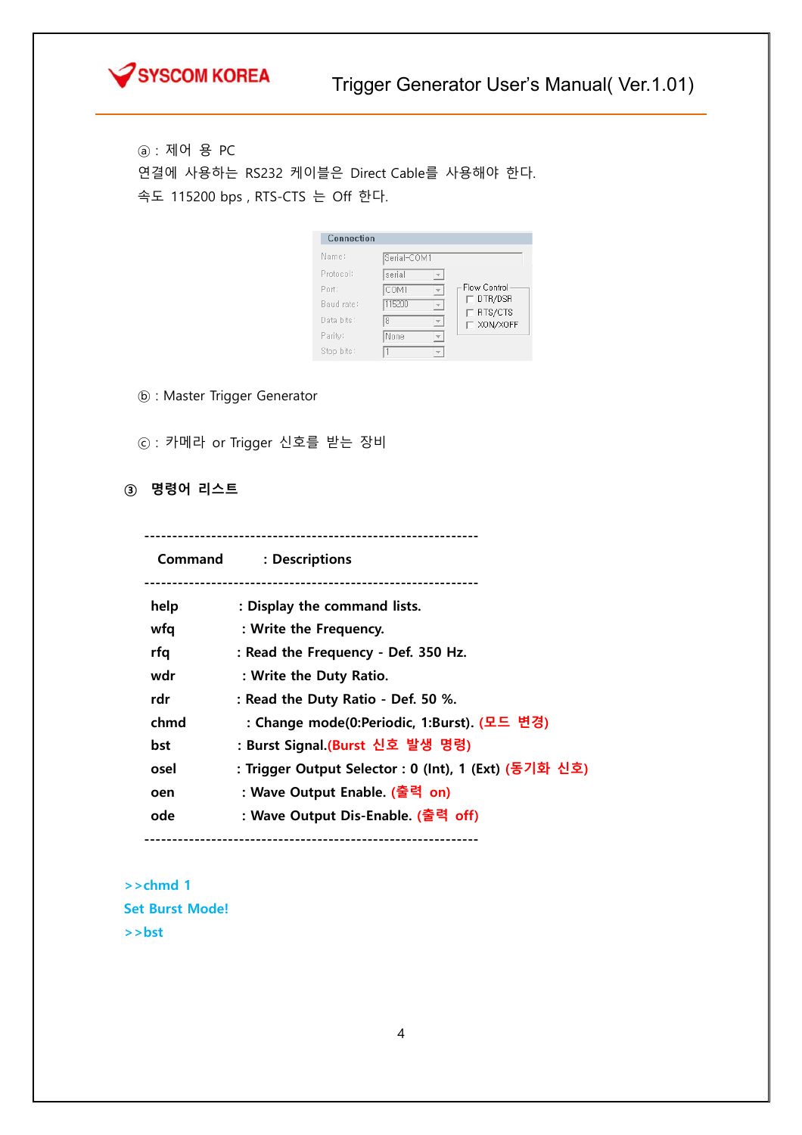

ⓐ : 제어 용 PC 연결에 사용하는 RS232 케이블은 Direct Cable를 사용해야 한다. 속도 115200 bps , RTS-CTS 는 Off 한다.

| Connection |             |                     |
|------------|-------------|---------------------|
| Name:      | Serial-COM1 |                     |
| Protocol:  | serial      |                     |
| Pnrt:      | COM1        | Flow Control        |
| Baud rate: | 115200      | DTR/DSR             |
| Data bits: | 8           | RTS/CTS<br>XON/XOFF |
| Parity:    | None        |                     |
| Stop bits: |             |                     |

- ⓑ : Master Trigger Generator
- ⓒ : 카메라 or Trigger 신호를 받는 장비
- ③ 명령어 리스트

------------------------------------------------------------

 Command : Descriptions ----------------------------------------------------------- help : Display the command lists. wfq : Write the Frequency. rfq : Read the Frequency - Def. 350 Hz. wdr : Write the Duty Ratio. rdr : Read the Duty Ratio - Def. 50 %. chmd : Change mode(0:Periodic, 1:Burst). (모드 변경) bst : Burst Signal.(Burst 신호 발생 명령) osel : Trigger Output Selector : 0 (Int), 1 (Ext) (동기화 신호) oen : Wave Output Enable. (출력 on) ode : Wave Output Dis-Enable. (출력 off) ------------------------------------------------------------

>>chmd 1 Set Burst Mode! >>bst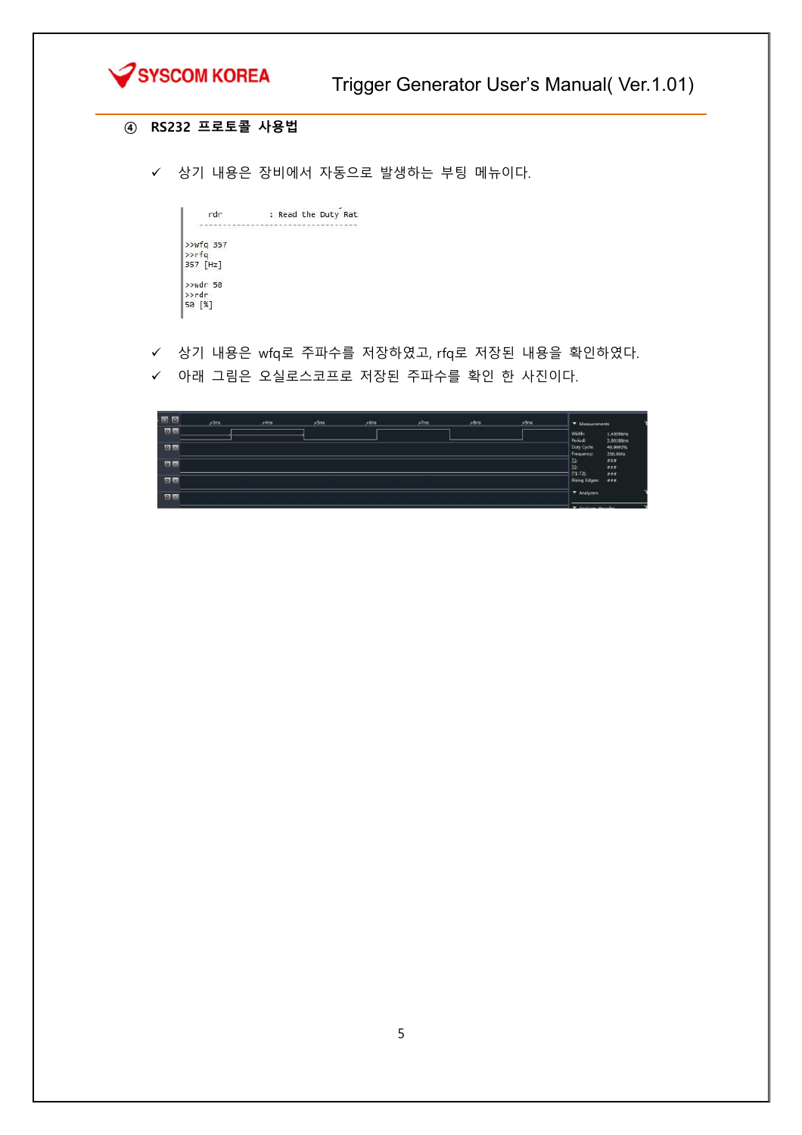

#### ④ RS232 프로토콜 사용법

상기 내용은 장비에서 자동으로 발생하는 부팅 메뉴이다.

| rdr               | : Read the Duty Rat: |
|-------------------|----------------------|
|                   |                      |
| $>>wfq$ 357       |                      |
| $\rightarrow$ rfq |                      |
| 357 [Hz]          |                      |
| $>$ wdr 50        |                      |
| >>rdr             |                      |
| 50 [%]            |                      |
|                   |                      |

상기 내용은 wfq로 주파수를 저장하였고, rfq로 저장된 내용을 확인하였다.

← 아래 그림은 오실로스코프로 저장된 주파수를 확인 한 사진이다.

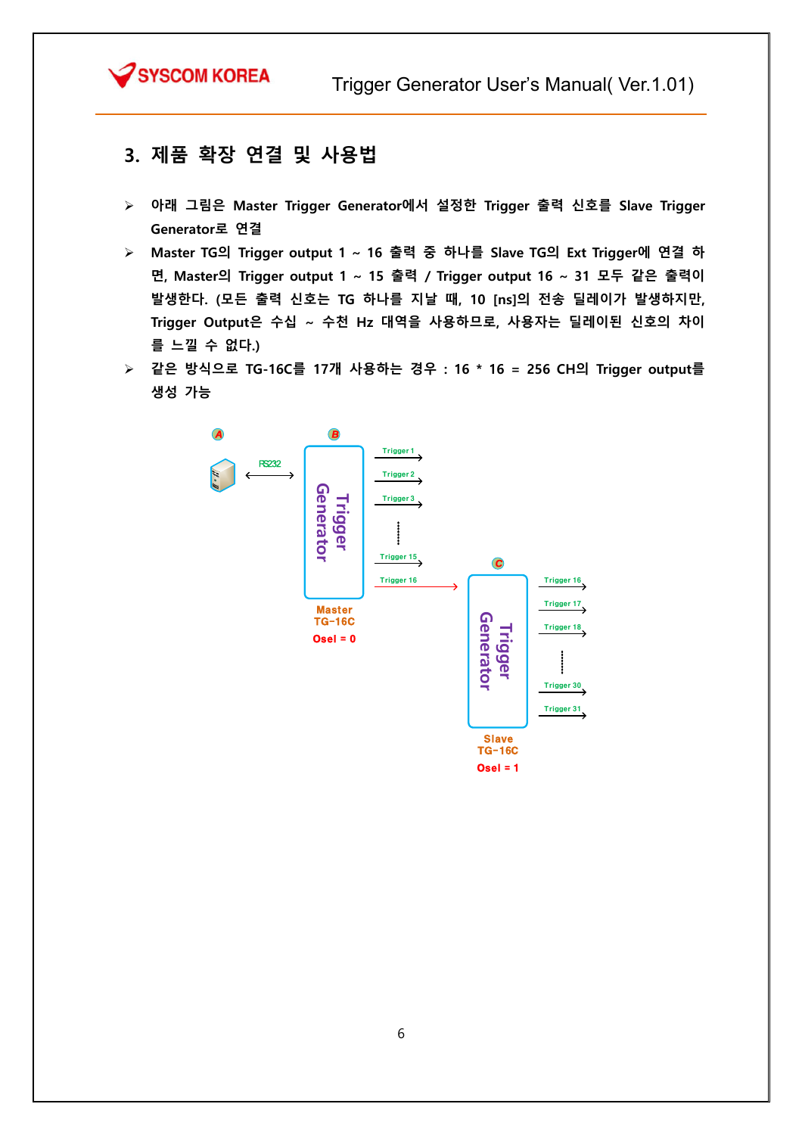

#### 3. 제품 확장 연결 및 사용법

- 아래 그림은 Master Trigger Generator에서 설정한 Trigger 출력 신호를 Slave Trigger Generator로 연결
- Master TG의 Trigger output 1 ~ 16 출력 중 하나를 Slave TG의 Ext Trigger에 연결 하 면, Master의 Trigger output 1 ~ 15 출력 / Trigger output 16 ~ 31 모두 같은 출력이 발생한다. (모든 출력 신호는 TG 하나를 지날 때, 10 [ns]의 전송 딜레이가 발생하지만, Trigger Output은 수십 ~ 수천 Hz 대역을 사용하므로, 사용자는 딜레이된 신호의 차이 를 느낄 수 없다.)
- 같은 방식으로 TG-16C를 17개 사용하는 경우 : 16 \* 16 = 256 CH의 Trigger output를 생성 가능